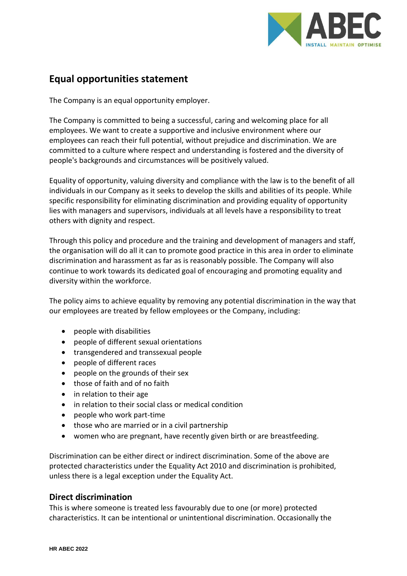

# **Equal opportunities statement**

The Company is an equal opportunity employer.

The Company is committed to being a successful, caring and welcoming place for all employees. We want to create a supportive and inclusive environment where our employees can reach their full potential, without prejudice and discrimination. We are committed to a culture where respect and understanding is fostered and the diversity of people's backgrounds and circumstances will be positively valued.

Equality of opportunity, valuing diversity and compliance with the law is to the benefit of all individuals in our Company as it seeks to develop the skills and abilities of its people. While specific responsibility for eliminating discrimination and providing equality of opportunity lies with managers and supervisors, individuals at all levels have a responsibility to treat others with dignity and respect.

Through this policy and procedure and the training and development of managers and staff, the organisation will do all it can to promote good practice in this area in order to eliminate discrimination and harassment as far as is reasonably possible. The Company will also continue to work towards its dedicated goal of encouraging and promoting equality and diversity within the workforce.

The policy aims to achieve equality by removing any potential discrimination in the way that our employees are treated by fellow employees or the Company, including:

- people with disabilities
- people of different sexual orientations
- transgendered and transsexual people
- people of different races
- people on the grounds of their sex
- those of faith and of no faith
- in relation to their age
- in relation to their social class or medical condition
- people who work part-time
- those who are married or in a civil partnership
- women who are pregnant, have recently given birth or are breastfeeding.

Discrimination can be either direct or indirect discrimination. Some of the above are protected characteristics under the Equality Act 2010 and discrimination is prohibited, unless there is a legal exception under the Equality Act.

### **Direct discrimination**

This is where someone is treated less favourably due to one (or more) protected characteristics. It can be intentional or unintentional discrimination. Occasionally the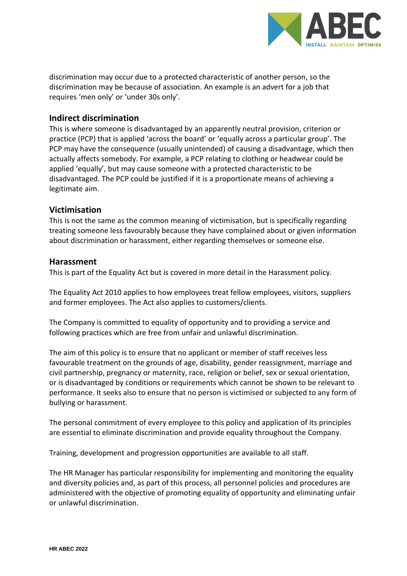

discrimination may occur due to a protected characteristic of another person, so the discrimination may be because of association. An example is an advert for a job that requires 'men only' or 'under 30s only'.

## **Indirect discrimination**

This is where someone is disadvantaged by an apparently neutral provision, criterion or practice (PCP) that is applied 'across the board' or 'equally across a particular group'. The PCP may have the consequence (usually unintended) of causing a disadvantage, which then actually affects somebody. For example, a PCP relating to clothing or headwear could be applied 'equally', but may cause someone with a protected characteristic to be disadvantaged. The PCP could be justified if it is a proportionate means of achieving a legitimate aim.

## **Victimisation**

This is not the same as the common meaning of victimisation, but is specifically regarding treating someone less favourably because they have complained about or given information about discrimination or harassment, either regarding themselves or someone else.

## **Harassment**

This is part of the Equality Act but is covered in more detail in the Harassment policy.

The Equality Act 2010 applies to how employees treat fellow employees, visitors, suppliers and former employees. The Act also applies to customers/clients.

The Company is committed to equality of opportunity and to providing a service and following practices which are free from unfair and unlawful discrimination.

The aim of this policy is to ensure that no applicant or member of staff receives less favourable treatment on the grounds of age, disability, gender reassignment, marriage and civil partnership, pregnancy or maternity, race, religion or belief, sex or sexual orientation, or is disadvantaged by conditions or requirements which cannot be shown to be relevant to performance. It seeks also to ensure that no person is victimised or subjected to any form of bullying or harassment.

The personal commitment of every employee to this policy and application of its principles are essential to eliminate discrimination and provide equality throughout the Company.

Training, development and progression opportunities are available to all staff.

The HR Manager has particular responsibility for implementing and monitoring the equality and diversity policies and, as part of this process, all personnel policies and procedures are administered with the objective of promoting equality of opportunity and eliminating unfair or unlawful discrimination.